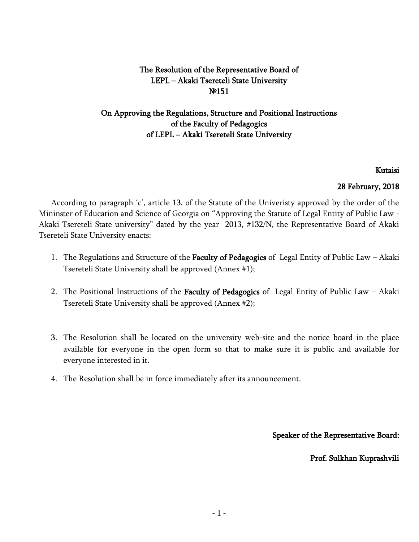# The Resolution of the Representative Board of LEPL – Akaki Tsereteli State University №151

# On Approving the Regulations, Structure and Positional Instructions of the Faculty of Pedagogics of LEPL – Akaki Tsereteli State University

#### Kutaisi

#### 28 February, 2018

According to paragraph 'c', article 13, of the Statute of the Univeristy approved by the order of the Mininster of Education and Science of Georgia on "Approving the Statute of Legal Entity of Public Law - Akaki Tsereteli State university" dated by the year 2013, #132/N, the Representative Board of Akaki Tsereteli State University enacts:

- 1. The Regulations and Structure of the Faculty of Pedagogics of Legal Entity of Public Law Akaki Tsereteli State University shall be approved (Annex #1);
- 2. The Positional Instructions of the Faculty of Pedagogics of Legal Entity of Public Law Akaki Tsereteli State University shall be approved (Annex #2);
- 3. The Resolution shall be located on the university web-site and the notice board in the place available for everyone in the open form so that to make sure it is public and available for everyone interested in it.
- 4. The Resolution shall be in force immediately after its announcement.

Speaker of the Representative Board:

Prof. Sulkhan Kuprashvili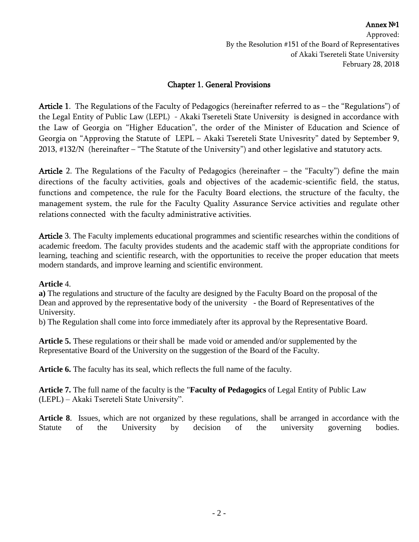Annex №1 Approved: By the Resolution #151 of the Board of Representatives of Akaki Tsereteli State University February 28, 2018

## Chapter 1. General Provisions

Article 1. The Regulations of the Faculty of Pedagogics (hereinafter referred to as – the "Regulations") of the Legal Entity of Public Law (LEPL) - Akaki Tsereteli State University is designed in accordance with the Law of Georgia on "Higher Education", the order of the Minister of Education and Science of Georgia on "Approving the Statute of LEPL – Akaki Tsereteli State Univesrity" dated by September 9, 2013, #132/N (hereinafter – "The Statute of the University") and other legislative and statutory acts.

Article 2. The Regulations of the Faculty of Pedagogics (hereinafter – the "Faculty") define the main directions of the faculty activities, goals and objectives of the academic-scientific field, the status, functions and competence, the rule for the Faculty Board elections, the structure of the faculty, the management system, the rule for the Faculty Quality Assurance Service activities and regulate other relations connected with the faculty administrative activities.

Article 3. The Faculty implements educational programmes and scientific researches within the conditions of academic freedom. The faculty provides students and the academic staff with the appropriate conditions for learning, teaching and scientific research, with the opportunities to receive the proper education that meets modern standards, and improve learning and scientific environment.

#### **Article** 4.

**a)** The regulations and structure of the faculty are designed by the Faculty Board on the proposal of the Dean and approved by the representative body of the university - the Board of Representatives of the University.

b) The Regulation shall come into force immediately after its approval by the Representative Board.

**Article 5.** These regulations or their shall be made void or amended and/or supplemented by the Representative Board of the University on the suggestion of the Board of the Faculty.

**Article 6.** The faculty has its seal, which reflects the full name of the faculty.

**Article 7.** The full name of the faculty is the "**Faculty of Pedagogics** of Legal Entity of Public Law (LEPL) – Akaki Tsereteli State University".

**Article 8**. Issues, which are not organized by these regulations, shall be arranged in accordance with the Statute of the University by decision of the university governing bodies.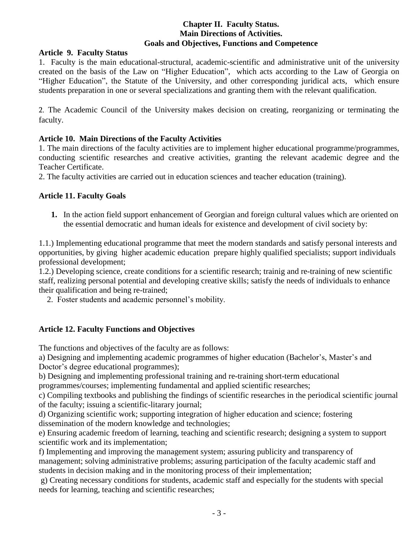#### **Chapter II. Faculty Status. Main Directions of Activities. Goals and Objectives, Functions and Competence**

#### **Article 9. Faculty Status**

1. Faculty is the main educational-structural, academic-scientific and administrative unit of the university created on the basis of the Law on "Higher Education", which acts according to the Law of Georgia on "Higher Education", the Statute of the University, and other corresponding juridical acts, which ensure students preparation in one or several specializations and granting them with the relevant qualification.

2. The Academic Council of the University makes decision on creating, reorganizing or terminating the faculty.

## **Article 10. Main Directions of the Faculty Activities**

1. The main directions of the faculty activities are to implement higher educational programme/programmes, conducting scientific researches and creative activities, granting the relevant academic degree and the Teacher Certificate.

2. The faculty activities are carried out in education sciences and teacher education (training).

## **Article 11. Faculty Goals**

**1.** In the action field support enhancement of Georgian and foreign cultural values which are oriented on the essential democratic and human ideals for existence and development of civil society by:

1.1.) Implementing educational programme that meet the modern standards and satisfy personal interests and opportunities, by giving higher academic education prepare highly qualified specialists; support individuals professional development;

1.2.) Developing science, create conditions for a scientific research; trainig and re-training of new scientific staff, realizing personal potential and developing creative skills; satisfy the needs of individuals to enhance their qualification and being re-trained;

2. Foster students and academic personnel's mobility.

## **Article 12. Faculty Functions and Objectives**

The functions and objectives of the faculty are as follows:

a) Designing and implementing academic programmes of higher education (Bachelor's, Master's and Doctor's degree educational programmes);

b) Designing and implementing professional training and re-training short-term educational

programmes/courses; implementing fundamental and applied scientific researches;

c) Compiling textbooks and publishing the findings of scientific researches in the periodical scientific journal of the faculty; issuing a scientific-litarary journal;

d) Organizing scientific work; supporting integration of higher education and science; fostering dissemination of the modern knowledge and technologies;

e) Ensuring academic freedom of learning, teaching and scientific research; designing a system to support scientific work and its implementation;

f) Implementing and improving the management system; assuring publicity and transparency of management; solving administrative problems; assuring participation of the faculty academic staff and students in decision making and in the monitoring process of their implementation;

g) Creating necessary conditions for students, academic staff and especially for the students with special needs for learning, teaching and scientific researches;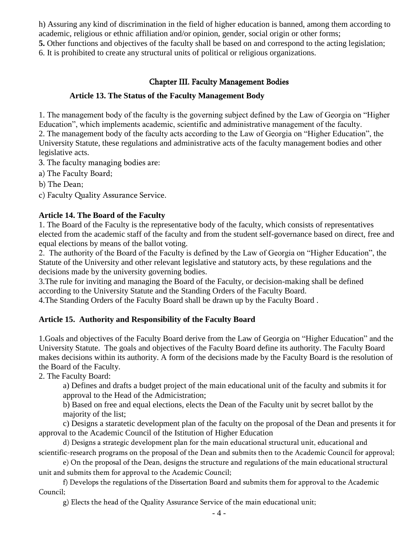h) Assuring any kind of discrimination in the field of higher education is banned, among them according to academic, religious or ethnic affiliation and/or opinion, gender, social origin or other forms;

**5.** Other functions and objectives of the faculty shall be based on and correspond to the acting legislation; 6. It is prohibited to create any structural units of political or religious organizations.

# Chapter III. Faculty Management Bodies

## **Article 13. The Status of the Faculty Management Body**

1. The management body of the faculty is the governing subject defined by the Law of Georgia on "Higher Education", which implements academic, scientific and administrative management of the faculty. 2. The management body of the faculty acts according to the Law of Georgia on "Higher Education", the University Statute, these regulations and administrative acts of the faculty management bodies and other legislative acts.

3. The faculty managing bodies are:

a) The Faculty Board;

b) The Dean;

c) Faculty Quality Assurance Service.

## **Article 14. The Board of the Faculty**

1. The Board of the Faculty is the representative body of the faculty, which consists of representatives elected from the academic staff of the faculty and from the student self-governance based on direct, free and equal elections by means of the ballot voting.

2. The authority of the Board of the Faculty is defined by the Law of Georgia on "Higher Education", the Statute of the University and other relevant legislative and statutory acts, by these regulations and the decisions made by the university governing bodies.

3.The rule for inviting and managing the Board of the Faculty, or decision-making shall be defined according to the University Statute and the Standing Orders of the Faculty Board.

4.The Standing Orders of the Faculty Board shall be drawn up by the Faculty Board .

# **Article 15. Authority and Responsibility of the Faculty Board**

1.Goals and objectives of the Faculty Board derive from the Law of Georgia on "Higher Education" and the University Statute. The goals and objectives of the Faculty Board define its authority. The Faculty Board makes decisions within its authority. A form of the decisions made by the Faculty Board is the resolution of the Board of the Faculty.

2. The Faculty Board:

a) Defines and drafts a budget project of the main educational unit of the faculty and submits it for approval to the Head of the Admicistration;

b) Based on free and equal elections, elects the Dean of the Faculty unit by secret ballot by the majority of the list;

c) Designs a staratetic development plan of the faculty on the proposal of the Dean and presents it for approval to the Academic Council of the Istitution of Higher Education

d) Designs a strategic development plan for the main educational structural unit, educational and scientific-research programs on the proposal of the Dean and submits then to the Academic Council for approval;

e) On the proposal of the Dean, designs the structure and regulations of the main educational structural unit and submits them for approval to the Academic Council;

f) Develops the regulations of the Dissertation Board and submits them for approval to the Academic Council;

g) Elects the head of the Quality Assurance Service of the main educational unit;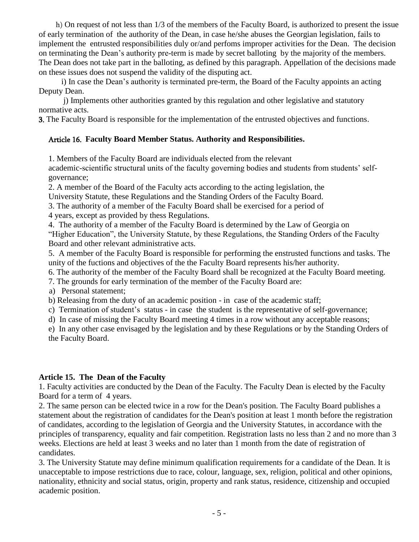h) On request of not less than 1/3 of the members of the Faculty Board, is authorized to present the issue of early termination of the authority of the Dean, in case he/she abuses the Georgian legislation, fails to implement the entrusted responsibilities duly or/and perfoms improper activities for the Dean. The decision on terminating the Dean's authority pre-term is made by secret balloting by the majority of the members. The Dean does not take part in the balloting, as defined by this paragraph. Appellation of the decisions made on these issues does not suspend the validity of the disputing act.

 i) In case the Dean's authority is terminated pre-term, the Board of the Faculty appoints an acting Deputy Dean.

 j) Implements other authorities granted by this regulation and other legislative and statutory normative acts.

3. The Faculty Board is responsible for the implementation of the entrusted objectives and functions.

## Article 16. **Faculty Board Member Status. Authority and Responsibilities.**

1. Members of the Faculty Board are individuals elected from the relevant

academic-scientific structural units of the faculty governing bodies and students from students' selfgovernance;

2. A member of the Board of the Faculty acts according to the acting legislation, the University Statute, these Regulations and the Standing Orders of the Faculty Board.

3. The authority of a member of the Faculty Board shall be exercised for a period of

4 years, except as provided by thess Regulations.

4. The authority of a member of the Faculty Board is determined by the Law of Georgia on

"Higher Education", the University Statute, by these Regulations, the Standing Orders of the Faculty Board and other relevant administrative acts.

5. A member of the Faculty Board is responsible for performing the enstrusted functions and tasks. The unity of the fuctions and objectives of the the Faculty Board represents his/her authority.

6. The authority of the member of the Faculty Board shall be recognized at the Faculty Board meeting.

7. The grounds for early termination of the member of the Faculty Board are:

a) Personal statement;

b) Releasing from the duty of an academic position - in case of the academic staff;

c) Termination of student's status - in case the student is the representative of self-governance;

d) In case of missing the Faculty Board meeting 4 times in a row without any acceptable reasons;

e) In any other case envisaged by the legislation and by these Regulations or by the Standing Orders of the Faculty Board.

## **Article 15. The Dean of the Faculty**

1. Faculty activities are conducted by the Dean of the Faculty. The Faculty Dean is elected by the Faculty Board for a term of 4 years.

2. The same person can be elected twice in a row for the Dean's position. The Faculty Board publishes a statement about the registration of candidates for the Dean's position at least 1 month before the registration of candidates, according to the legislation of Georgia and the University Statutes, in accordance with the principles of transparency, equality and fair competition. Registration lasts no less than 2 and no more than 3 weeks. Elections are held at least 3 weeks and no later than 1 month from the date of registration of candidates.

3. The University Statute may define minimum qualification requirements for a candidate of the Dean. It is unacceptable to impose restrictions due to race, colour, language, sex, religion, political and other opinions, nationality, ethnicity and social status, origin, property and rank status, residence, citizenship and occupied academic position.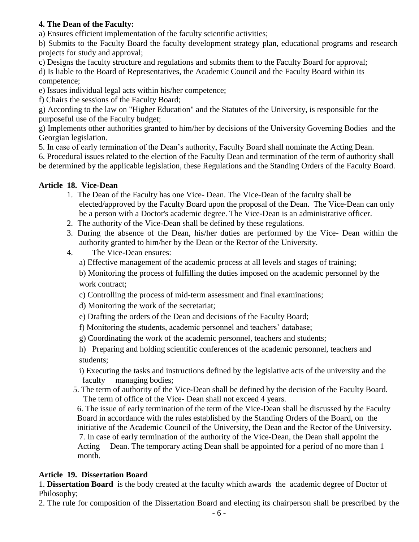## **4. The Dean of the Faculty:**

a) Ensures efficient implementation of the faculty scientific activities;

b) Submits to the Faculty Board the faculty development strategy plan, educational programs and research projects for study and approval;

c) Designs the faculty structure and regulations and submits them to the Faculty Board for approval;

d) Is liable to the Board of Representatives, the Academic Council and the Faculty Board within its competence;

e) Issues individual legal acts within his/her competence;

f) Chairs the sessions of the Faculty Board;

g) According to the law on "Higher Education" and the Statutes of the University, is responsible for the purposeful use of the Faculty budget;

g) Implements other authorities granted to him/her by decisions of the University Governing Bodies and the Georgian legislation.

5. In case of early termination of the Dean's authority, Faculty Board shall nominate the Acting Dean.

6. Procedural issues related to the election of the Faculty Dean and termination of the term of authority shall be determined by the applicable legislation, these Regulations and the Standing Orders of the Faculty Board.

## **Article 18. Vice-Dean**

- 1. The Dean of the Faculty has one Vice- Dean. The Vice-Dean of the faculty shall be elected/approved by the Faculty Board upon the proposal of the Dean. The Vice-Dean can only be a person with a Doctor's academic degree. The Vice-Dean is an administrative officer.
- 2. The authority of the Vice-Dean shall be defined by these regulations.
- 3. During the absence of the Dean, his/her duties are performed by the Vice- Dean within the authority granted to him/her by the Dean or the Rector of the University.
- 4. The Vice-Dean ensures:
	- a) Effective management of the academic process at all levels and stages of training;

b) Monitoring the process of fulfilling the duties imposed on the academic personnel by the work contract:

c) Controlling the process of mid-term assessment and final examinations;

d) Monitoring the work of the secretariat;

- e) Drafting the orders of the Dean and decisions of the Faculty Board;
- f) Monitoring the students, academic personnel and teachers' database;
- g) Coordinating the work of the academic personnel, teachers and students;

h) Preparing and holding scientific conferences of the academic personnel, teachers and students;

- i) Executing the tasks and instructions defined by the legislative acts of the university and the faculty managing bodies;
- 5. The term of authority of the Vice-Dean shall be defined by the decision of the Faculty Board. The term of office of the Vice- Dean shall not exceed 4 years.

6. The issue of early termination of the term of the Vice-Dean shall be discussed by the Faculty Board in accordance with the rules established by the Standing Orders of the Board, on the initiative of the Academic Council of the University, the Dean and the Rector of the University. 7. In case of early termination of the authority of the Vice-Dean, the Dean shall appoint the Acting Dean. The temporary acting Dean shall be appointed for a period of no more than 1 month.

# **Article 19. Dissertation Board**

1. **Dissertation Board** is the body created at the faculty which awards the academic degree of Doctor of Philosophy;

2. The rule for composition of the Dissertation Board and electing its chairperson shall be prescribed by the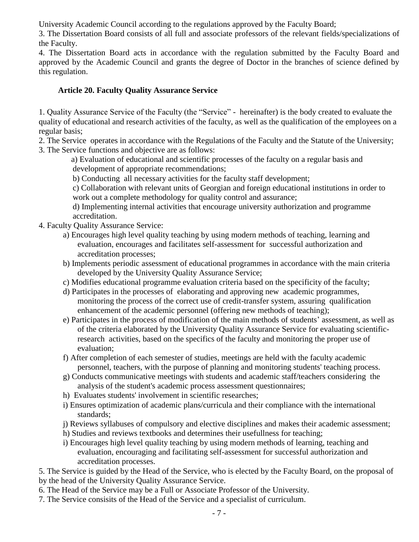University Academic Council according to the regulations approved by the Faculty Board;

3. The Dissertation Board consists of all full and associate professors of the relevant fields/specializations of the Faculty.

4. The Dissertation Board acts in accordance with the regulation submitted by the Faculty Board and approved by the Academic Council and grants the degree of Doctor in the branches of science defined by this regulation.

## **Article 20. Faculty Quality Assurance Service**

1. Quality Assurance Service of the Faculty (the "Service" - hereinafter) is the body created to evaluate the quality of educational and research activities of the faculty, as well as the qualification of the employees on a regular basis;

2. The Service operates in accordance with the Regulations of the Faculty and the Statute of the University; 3. The Service functions and objective are as follows:

 a) Evaluation of educational and scientific processes of the faculty on a regular basis and development of appropriate recommendations;

b) Conducting all necessary activities for the faculty staff development;

c) Collaboration with relevant units of Georgian and foreign educational institutions in order to work out a complete methodology for quality control and assurance;

d) Implementing internal activities that encourage university authorization and programme accreditation.

- 4. Faculty Quality Assurance Service:
	- a) Encourages high level quality teaching by using modern methods of teaching, learning and evaluation, encourages and facilitates self-assessment for successful authorization and accreditation processes;
	- b) Implements periodic assessment of educational programmes in accordance with the main criteria developed by the University Quality Assurance Service;
	- c) Modifies educational programme evaluation criteria based on the specificity of the faculty;
	- d) Participates in the processes of elaborating and approving new academic programmes, monitoring the process of the correct use of credit-transfer system, assuring qualification enhancement of the academic personnel (offering new methods of teaching);
	- e) Participates in the process of modification of the main methods of students' assessment, as well as of the criteria elaborated by the University Quality Assurance Service for evaluating scientificresearch activities, based on the specifics of the faculty and monitoring the proper use of evaluation;
	- f) After completion of each semester of studies, meetings are held with the faculty academic personnel, teachers, with the purpose of planning and monitoring students' teaching process.
	- g) Conducts communicative meetings with students and academic staff/teachers considering the analysis of the student's academic process assessment questionnaires;
	- h) Evaluates students' involvement in scientific researches;
	- i) Ensures optimization of academic plans/curricula and their compliance with the international standards;
	- j) Reviews syllabuses of compulsory and elective disciplines and makes their academic assessment;
	- h) Studies and reviews textbooks and determines their usefullness for teaching;
	- i) Encourages high level quality teaching by using modern methods of learning, teaching and evaluation, encouraging and facilitating self-assessment for successful authorization and accreditation processes.

5. The Service is guided by the Head of the Service, who is elected by the Faculty Board, on the proposal of by the head of the University Quality Assurance Service.

- 6. The Head of the Service may be a Full or Associate Professor of the University.
- 7. The Service consisits of the Head of the Service and a specialist of curriculum.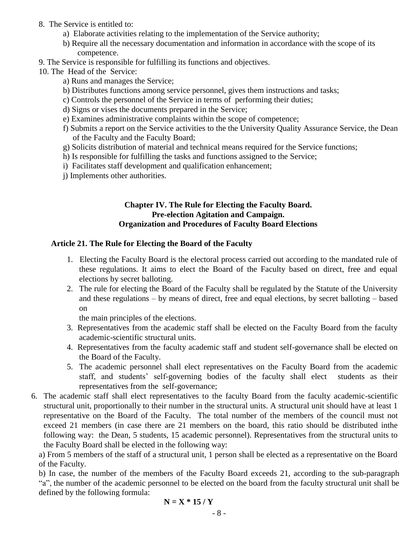- 8. The Service is entitled to:
	- a) Elaborate activities relating to the implementation of the Service authority;
	- b) Require all the necessary documentation and information in accordance with the scope of its competence.
- 9. The Service is responsible for fulfilling its functions and objectives.
- 10. The Head of the Service:
	- a) Runs and manages the Service;
	- b) Distributes functions among service personnel, gives them instructions and tasks;
	- c) Controls the personnel of the Service in terms of performing their duties;
	- d) Signs or vises the documents prepared in the Service;
	- e) Examines administrative complaints within the scope of competence;
	- f) Submits a report on the Service activities to the the University Quality Assurance Service, the Dean of the Faculty and the Faculty Board;
	- g) Solicits distribution of material and technical means required for the Service functions;
	- h) Is responsible for fulfilling the tasks and functions assigned to the Service;
	- i) Facilitates staff development and qualification enhancement;
	- j) Implements other authorities.

#### **Chapter IV. The Rule for Electing the Faculty Board. Pre-election Agitation and Campaign. Organization and Procedures of Faculty Board Elections**

#### **Article 21. The Rule for Electing the Board of the Faculty**

- 1. Electing the Faculty Board is the electoral process carried out according to the mandated rule of these regulations. It aims to elect the Board of the Faculty based on direct, free and equal elections by secret balloting.
- 2. The rule for electing the Board of the Faculty shall be regulated by the Statute of the University and these regulations – by means of direct, free and equal elections, by secret balloting – based on

the main principles of the elections.

- 3. Representatives from the academic staff shall be elected on the Faculty Board from the faculty academic-scientific structural units.
- 4. Representatives from the faculty academic staff and student self-governance shall be elected on the Board of the Faculty.
- 5. The academic personnel shall elect representatives on the Faculty Board from the academic staff, and students' self-governing bodies of the faculty shall elect students as their representatives from the self-governance;
- 6. The academic staff shall elect representatives to the faculty Board from the faculty academic-scientific structural unit, proportionally to their number in the structural units. A structural unit should have at least 1 representative on the Board of the Faculty. The total number of the members of the council must not exceed 21 members (in case there are 21 members on the board, this ratio should be distributed inthe following way: the Dean, 5 students, 15 academic personnel). Representatives from the structural units to the Faculty Board shall be elected in the following way:

a) From 5 members of the staff of a structural unit, 1 person shall be elected as a representative on the Board of the Faculty.

b) In case, the number of the members of the Faculty Board exceeds 21, according to the sub-paragraph "a", the number of the academic personnel to be elected on the board from the faculty structural unit shall be defined by the following formula:

$$
N = X * 15 / Y
$$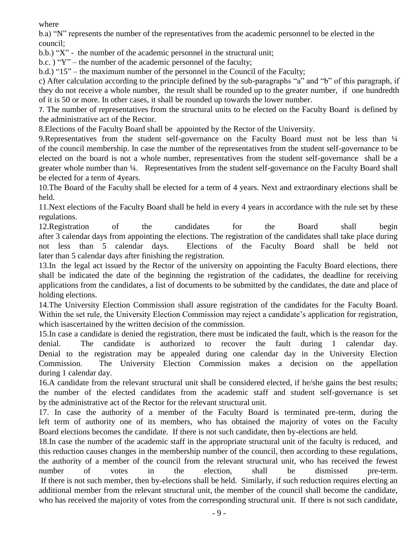where

b.a) "N" represents the number of the representatives from the academic personnel to be elected in the council;

b.b.) "X" - the number of the academic personnel in the structural unit;

b.c. ) "Y" – the number of the academic personnel of the faculty;

b.d.) "15" – the maximum number of the personnel in the Council of the Faculty;

c) After calculation according to the principle defined by the sub-paragraphs "a" and "b" of this paragraph, if they do not receive a whole number, the result shall be rounded up to the greater number, if one hundredth of it is 50 or more. In other cases, it shall be rounded up towards the lower number.

7. The number of representatives from the structural units to be elected on the Faculty Board is defined by the administrative act of the Rector.

8.Elections of the Faculty Board shall be appointed by the Rector of the University.

9. Representatives from the student self-governance on the Faculty Board must not be less than  $\frac{1}{4}$ of the council membership. In case the number of the representatives from the student self-governance to be elected on the board is not a whole number, representatives from the student self-governance shall be a greater whole number than ¼. Representatives from the student self-governance on the Faculty Board shall be elected for a term of 4years.

10.The Board of the Faculty shall be elected for a term of 4 years. Next and extraordinary elections shall be held.

11.Next elections of the Faculty Board shall be held in every 4 years in accordance with the rule set by these regulations.

12.Registration of the candidates for the Board shall begin after 3 calendar days from appointing the elections. The registration of the candidates shall take place during not less than 5 calendar days. Elections of the Faculty Board shall be held not later than 5 calendar days after finishing the registration.

13.In the legal act issued by the Rector of the university on appointing the Faculty Board elections, there shall be indicated the date of the beginning the registration of the cadidates, the deadline for receiving applications from the candidates, a list of documents to be submitted by the candidates, the date and place of holding elections.

14.The University Election Commission shall assure registration of the candidates for the Faculty Board. Within the set rule, the University Election Commission may reject a candidate's application for registration, which isascertained by the written decision of the commission.

15.In case a candidate is denied the registration, there must be indicated the fault, which is the reason for the denial. The candidate is authorized to recover the fault during 1 calendar day. Denial to the registration may be appealed during one calendar day in the University Election Commission. The University Election Commission makes a decision on the appellation during 1 calendar day.

16.A candidate from the relevant structural unit shall be considered elected, if he/she gains the best results; the number of the elected candidates from the academic staff and student self-governance is set by the administrative act of the Rector for the relevant structural unit.

17. In case the authority of a member of the Faculty Board is terminated pre-term, during the left term of authority one of its members, who has obtained the majority of votes on the Faculty Board elections becomes the candidate. If there is not such candidate, then by-elections are held.

18.In case the number of the academic staff in the appropriate structural unit of the faculty is reduced, and this reduction causes changes in the membership number of the council, then according to these regulations, the authority of a member of the council from the relevant structural unit, who has received the fewest number of votes in the election, shall be dismissed pre-term. If there is not such member, then by-elections shall be held. Similarly, if such reduction requires electing an additional member from the relevant structural unit, the member of the council shall become the candidate, who has received the majority of votes from the corresponding structural unit. If there is not such candidate,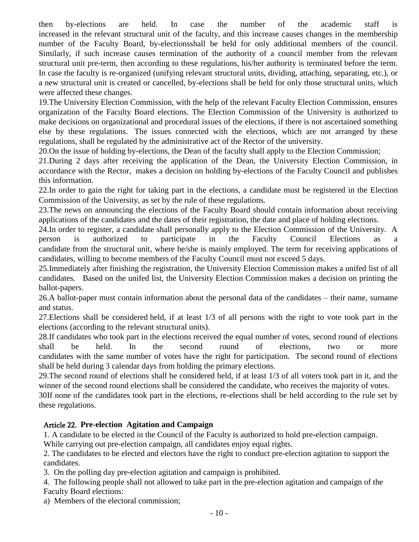then by-elections are held. In case the number of the academic staff is increased in the relevant structural unit of the faculty, and this increase causes changes in the membership number of the Faculty Board, by-electionsshall be held for only additional members of the council. Similarly, if such increase causes termination of the authority of a council member from the relevant structural unit pre-term, then according to these regulations, his/her authority is terminated before the term. In case the faculty is re-organized (unifying relevant structural units, dividing, attaching, separating, etc.), or a new structural unit is created or cancelled, by-elections shall be held for only those structural units, which were affected these changes.

19.The University Election Commission, with the help of the relevant Faculty Election Commission, ensures organization of the Faculty Board elections. The Election Commission of the University is authorized to make decisions on organizational and procedural issues of the elections, if there is not ascertained something else by these regulations. The issues connected with the elections, which are not arranged by these regulations, shall be regulated by the administrative act of the Rector of the university.

20.On the issue of holding by-elections, the Dean of the faculty shall apply to the Election Commission;

21.During 2 days after receiving the application of the Dean, the University Election Commission, in accordance with the Rector, makes a decision on holding by-elections of the Faculty Council and publishes this information.

22.In order to gain the right for taking part in the elections, a candidate must be registered in the Election Commission of the University, as set by the rule of these regulations.

23.The news on announcing the elections of the Faculty Board should contain information about receiving applications of the candidates and the dates of their registration, the date and place of holding elections.

24.In order to register, a candidate shall personally apply to the Election Commission of the University. A person is authorized to participate in the Faculty Council Elections as a candidate from the structural unit, where he/she is mainly employed. The term for receiving applications of candidates, willing to become members of the Faculty Council must not exceed 5 days.

25.Immediately after finishing the registration, the University Election Commission makes a unifed list of all candidates. Based on the unifed list, the University Election Commission makes a decision on printing the ballot-papers.

26.A ballot-paper must contain information about the personal data of the candidates – their name, surname and status.

27.Elections shall be considered held, if at least 1/3 of all persons with the right to vote took part in the elections (according to the relevant structural units).

28.If candidates who took part in the elections received the equal number of votes, second round of elections shall be held. In the second round of elections, two or more candidates with the same number of votes have the right for participation. The second round of elections shall be held during 3 calendar days from holding the primary elections.

29.The second round of elections shall be considered held, if at least 1/3 of all voters took part in it, and the winner of the second round elections shall be considered the candidate, who receives the majority of votes.

30If none of the candidates took part in the elections, re-elections shall be held according to the rule set by these regulations.

## Article 22. **Pre-election Agitation and Campaign**

1. A candidate to be elected in the Council of the Faculty is authorized to hold pre-election campaign.

While carrying out pre-election campaign, all candidates enjoy equal rights.

2. The candidates to be elected and electors have the right to conduct pre-election agitation to support the candidates.

3. On the polling day pre-election agitation and campaign is prohibited.

4. The following people shall not allowed to take part in the pre-election agitation and campaign of the Faculty Board elections:

a) Members of the electoral commission;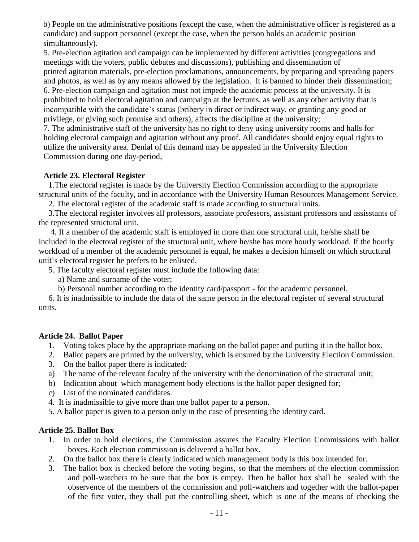b) People on the administrative positions (except the case, when the administrative officer is registered as a candidate) and support personnel (except the case, when the person holds an academic position simultaneously).

5. Pre-election agitation and campaign can be implemented by different activities (congregations and meetings with the voters, public debates and discussions), publishing and dissemination of printed agitation materials, pre-election proclamations, announcements, by preparing and spreading papers and photos, as well as by any means allowed by the legislation. It is banned to hinder their dissemination; 6. Pre-election campaign and agitation must not impede the academic process at the university. It is prohibited to hold electoral agitation and campaign at the lectures, as well as any other activity that is incompatible with the candidate's status (bribery in direct or indirect way, or granting any good or privilege, or giving such promise and others), affects the discipline at the university;

7. The administrative staff of the university has no right to deny using university rooms and halls for holding electoral campaign and agitation without any proof. All candidates should enjoy equal rights to utilize the university area. Denial of this demand may be appealed in the University Election Commission during one day-period,

#### **Article 23. Electoral Register**

1.The electoral register is made by the University Election Commission according to the appropriate structural units of the faculty, and in accordance with the University Human Resources Management Service.

2. The electoral register of the academic staff is made according to structural units.

3.The electoral register involves all professors, associate professors, assistant professors and assisstants of the represented structural unit.

4. If a member of the academic staff is employed in more than one structural unit, he/she shall be included in the electoral register of the structural unit, where he/she has more hourly workload. If the hourly workload of a member of the academic personnel is equal, he makes a decision himself on which structural unit's electoral register he prefers to be enlisted.

- 5. The faculty electoral register must include the following data:
	- a) Name and surname of the voter;
	- b) Personal number according to the identity card/passport for the academic personnel.

6. It is inadmissible to include the data of the same person in the electoral register of several structural units.

#### **Article 24. Ballot Paper**

- 1. Voting takes place by the appropriate marking on the ballot paper and putting it in the ballot box.
- 2. Ballot papers are printed by the university, which is ensured by the University Election Commission.
- 3. On the ballot paper there is indicated:
- a) The name of the relevant faculty of the university with the denomination of the structural unit;
- b) Indication about which management body elections is the ballot paper designed for;
- c) List of the nominated candidates.
- 4. It is inadmissible to give more than one ballot paper to a person.
- 5. A ballot paper is given to a person only in the case of presenting the identity card.

#### **Article 25. Ballot Box**

- 1. In order to hold elections, the Commission assures the Faculty Election Commissions with ballot boxes. Each election commission is delivered a ballot box.
- 2. On the ballot box there is clearly indicated which management body is this box intended for.
- 3. The ballot box is checked before the voting begins, so that the members of the election commission and poll-watchers to be sure that the box is empty. Then he ballot box shall be sealed with the observence of the members of the commission and poll-watchers and together with the ballot-paper of the first voter, they shall put the controlling sheet, which is one of the means of checking the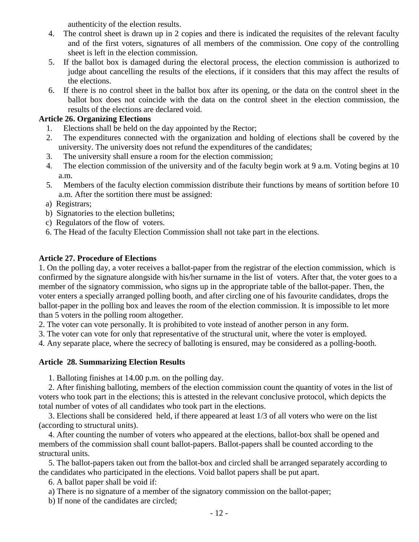authenticity of the election results.

- 4. The control sheet is drawn up in 2 copies and there is indicated the requisites of the relevant faculty and of the first voters, signatures of all members of the commission. One copy of the controlling sheet is left in the election commission.
- 5. If the ballot box is damaged during the electoral process, the election commission is authorized to judge about cancelling the results of the elections, if it considers that this may affect the results of the elections.
- 6. If there is no control sheet in the ballot box after its opening, or the data on the control sheet in the ballot box does not coincide with the data on the control sheet in the election commission, the results of the elections are declared void.

## **Article 26. Organizing Elections**

- 1. Elections shall be held on the day appointed by the Rector;
- 2. The expenditures connected with the organization and holding of elections shall be covered by the university. The university does not refund the expenditures of the candidates;
- 3. The university shall ensure a room for the election commission;
- 4. The election commission of the university and of the faculty begin work at 9 a.m. Voting begins at 10 a.m.
- 5. Members of the faculty election commission distribute their functions by means of sortition before 10 a.m. After the sortition there must be assigned:
- a) Registrars;
- b) Signatories to the election bulletins;
- c) Regulators of the flow of voters.
- 6. The Head of the faculty Election Commission shall not take part in the elections.

# **Article 27. Procedure of Elections**

1. On the polling day, a voter receives a ballot-paper from the registrar of the election commission, which is confirmed by the signature alongside with his/her surname in the list of voters. After that, the voter goes to a member of the signatory commission, who signs up in the appropriate table of the ballot-paper. Then, the voter enters a specially arranged polling booth, and after circling one of his favourite candidates, drops the ballot-paper in the polling box and leaves the room of the election commission. It is impossible to let more than 5 voters in the polling room altogether.

2. The voter can vote personally. It is prohibited to vote instead of another person in any form.

3. The voter can vote for only that representative of the structural unit, where the voter is employed.

4. Any separate place, where the secrecy of balloting is ensured, may be considered as a polling-booth.

# **Article 28. Summarizing Election Results**

1. Balloting finishes at 14.00 p.m. on the polling day.

2. After finishing balloting, members of the election commission count the quantity of votes in the list of voters who took part in the elections; this is attested in the relevant conclusive protocol, which depicts the total number of votes of all candidates who took part in the elections.

3. Elections shall be considered held, if there appeared at least 1/3 of all voters who were on the list (according to structural units).

4. After counting the number of voters who appeared at the elections, ballot-box shall be opened and members of the commission shall count ballot-papers. Ballot-papers shall be counted according to the structural units.

5. The ballot-papers taken out from the ballot-box and circled shall be arranged separately according to the candidates who participated in the elections. Void ballot papers shall be put apart.

6. A ballot paper shall be void if:

a) There is no signature of a member of the signatory commission on the ballot-paper;

b) If none of the candidates are circled;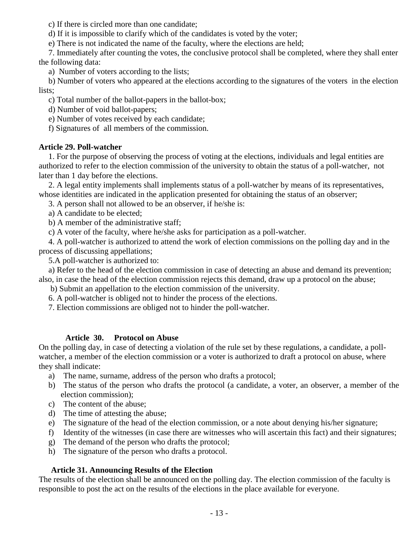c) If there is circled more than one candidate;

d) If it is impossible to clarify which of the candidates is voted by the voter;

e) There is not indicated the name of the faculty, where the elections are held;

7. Immediately after counting the votes, the conclusive protocol shall be completed, where they shall enter the following data:

a) Number of voters according to the lists;

b) Number of voters who appeared at the elections according to the signatures of the voters in the election lists;

c) Total number of the ballot-papers in the ballot-box;

d) Number of void ballot-papers;

e) Number of votes received by each candidate;

f) Signatures of all members of the commission.

# **Article 29. Poll-watcher**

1. For the purpose of observing the process of voting at the elections, individuals and legal entities are authorized to refer to the election commission of the university to obtain the status of a poll-watcher, not later than 1 day before the elections.

2. A legal entity implements shall implements status of a poll-watcher by means of its representatives, whose identities are indicated in the application presented for obtaining the status of an observer;

3. A person shall not allowed to be an observer, if he/she is:

a) A candidate to be elected;

b) A member of the administrative staff;

c) A voter of the faculty, where he/she asks for participation as a poll-watcher.

4. A poll-watcher is authorized to attend the work of election commissions on the polling day and in the process of discussing appellations;

5.A poll-watcher is authorized to:

a) Refer to the head of the election commission in case of detecting an abuse and demand its prevention; also, in case the head of the election commission rejects this demand, draw up a protocol on the abuse;

b) Submit an appellation to the election commission of the university.

6. A poll-watcher is obliged not to hinder the process of the elections.

7. Election commissions are obliged not to hinder the poll-watcher.

## **Article 30. Protocol on Abuse**

On the polling day, in case of detecting a violation of the rule set by these regulations, a candidate, a pollwatcher, a member of the election commission or a voter is authorized to draft a protocol on abuse, where they shall indicate:

- a) The name, surname, address of the person who drafts a protocol;
- b) The status of the person who drafts the protocol (a candidate, a voter, an observer, a member of the election commission);
- c) The content of the abuse;
- d) The time of attesting the abuse;
- e) The signature of the head of the election commission, or a note about denying his/her signature;
- f) Identity of the witnesses (in case there are witnesses who will ascertain this fact) and their signatures;
- g) The demand of the person who drafts the protocol;
- h) The signature of the person who drafts a protocol.

# **Article 31. Announcing Results of the Election**

The results of the election shall be announced on the polling day. The election commission of the faculty is responsible to post the act on the results of the elections in the place available for everyone.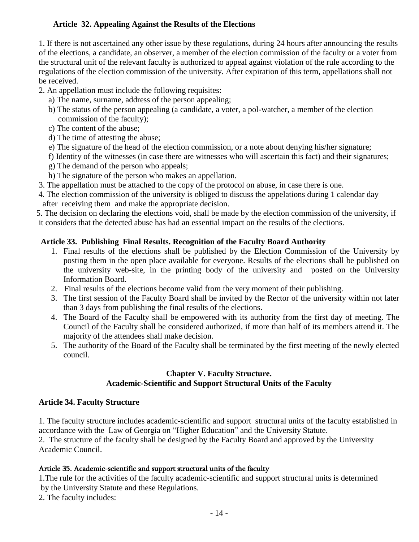# **Article 32. Appealing Against the Results of the Elections**

1. If there is not ascertained any other issue by these regulations, during 24 hours after announcing the results of the elections, a candidate, an observer, a member of the election commission of the faculty or a voter from the structural unit of the relevant faculty is authorized to appeal against violation of the rule according to the regulations of the election commission of the university. After expiration of this term, appellations shall not be received.

- 2. An appellation must include the following requisites:
	- a) The name, surname, address of the person appealing;
	- b) The status of the person appealing (a candidate, a voter, a pol-watcher, a member of the election commission of the faculty);
	- c) The content of the abuse;
	- d) The time of attesting the abuse;
	- e) The signature of the head of the election commission, or a note about denying his/her signature;

f) Identity of the witnesses (in case there are witnesses who will ascertain this fact) and their signatures;

- g) The demand of the person who appeals;
- h) The signature of the person who makes an appellation.
- 3. The appellation must be attached to the copy of the protocol on abuse, in case there is one.
- 4. The election commission of the university is obliged to discuss the appelations during 1 calendar day after receiving them and make the appropriate decision.

 5. The decision on declaring the elections void, shall be made by the election commission of the university, if it considers that the detected abuse has had an essential impact on the results of the elections.

## **Article 33. Publishing Final Results. Recognition of the Faculty Board Authority**

- 1. Final results of the elections shall be published by the Election Commission of the University by posting them in the open place available for everyone. Results of the elections shall be published on the university web-site, in the printing body of the university and posted on the University Information Board.
- 2. Final results of the elections become valid from the very moment of their publishing.
- 3. The first session of the Faculty Board shall be invited by the Rector of the university within not later than 3 days from publishing the final results of the elections.
- 4. The Board of the Faculty shall be empowered with its authority from the first day of meeting. The Council of the Faculty shall be considered authorized, if more than half of its members attend it. The majority of the attendees shall make decision.
- 5. The authority of the Board of the Faculty shall be terminated by the first meeting of the newly elected council.

#### **Chapter V. Faculty Structure. Academic-Scientific and Support Structural Units of the Faculty**

## **Article 34. Faculty Structure**

1. The faculty structure includes academic-scientific and support structural units of the faculty established in accordance with the Law of Georgia on "Higher Education" and the University Statute.

2. The structure of the faculty shall be designed by the Faculty Board and approved by the University Academic Council.

## Article 35. Academic-scientific and support structural units of the faculty

1.The rule for the activities of the faculty academic-scientific and support structural units is determined by the University Statute and these Regulations.

2. The faculty includes: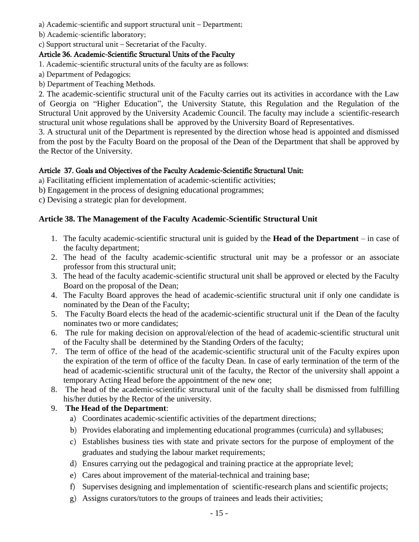- a) Academic-scientific and support structural unit Department;
- b) Academic-scientific laboratory;

c) Support structural unit – Secretariat of the Faculty.

# Article 36. Academic-Scientific Structural Units of the Faculty

- 1. Academic-scientific structural units of the faculty are as follows:
- a) Department of Pedagogics;
- b) Department of Teaching Methods.

2. The academic-scientific structural unit of the Faculty carries out its activities in accordance with the Law of Georgia on "Higher Education", the University Statute, this Regulation and the Regulation of the Structural Unit approved by the University Academic Council. The faculty may include a scientific-research structural unit whose regulations shall be approved by the University Board of Representatives.

3. A structural unit of the Department is represented by the direction whose head is appointed and dismissed from the post by the Faculty Board on the proposal of the Dean of the Department that shall be approved by the Rector of the University.

## Article 37. Goals and Objectives of the Faculty Academic-Scientific Structural Unit:

- a) Facilitating efficient implementation of academic-scientific activities;
- b) Engagement in the process of designing educational programmes;
- c) Devising a strategic plan for development.

## **Article 38. The Management of the Faculty Academic-Scientific Structural Unit**

- 1. The faculty academic-scientific structural unit is guided by the **Head of the Department** in case of the faculty department;
- 2. The head of the faculty academic-scientific structural unit may be a professor or an associate professor from this structural unit;
- 3. The head of the faculty academic-scientific structural unit shall be approved or elected by the Faculty Board on the proposal of the Dean;
- 4. The Faculty Board approves the head of academic-scientific structural unit if only one candidate is nominated by the Dean of the Faculty;
- 5. The Faculty Board elects the head of the academic-scientific structural unit if the Dean of the faculty nominates two or more candidates;
- 6. The rule for making decision on approval/election of the head of academic-scientific structural unit of the Faculty shall be determined by the Standing Orders of the faculty;
- 7. The term of office of the head of the academic-scientific structural unit of the Faculty expires upon the expiration of the term of office of the faculty Dean. In case of early termination of the term of the head of academic-scientific structural unit of the faculty, the Rector of the university shall appoint a temporary Acting Head before the appointment of the new one;
- 8. The head of the academic-scientific structural unit of the faculty shall be dismissed from fulfilling his/her duties by the Rector of the university.

## 9. **The Head of the Department**:

- a) Coordinates academic-scientific activities of the department directions;
- b) Provides elaborating and implementing educational programmes (curricula) and syllabuses;
- c) Establishes business ties with state and private sectors for the purpose of employment of the graduates and studying the labour market requirements;
- d) Ensures carrying out the pedagogical and training practice at the appropriate level;
- e) Cares about improvement of the material-technical and training base;
- f) Supervises designing and implementation of scientific-research plans and scientific projects;
- g) Assigns curators/tutors to the groups of trainees and leads their activities;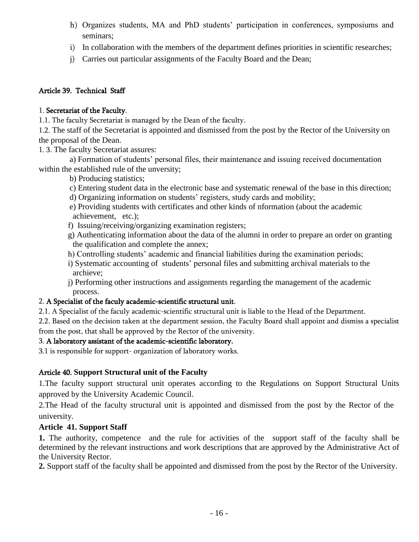- h) Organizes students, MA and PhD students' participation in conferences, symposiums and seminars;
- i) In collaboration with the members of the department defines priorities in scientific researches;
- j) Carries out particular assignments of the Faculty Board and the Dean;

## Article 39. Technical Staff

## 1. Secretariat of the Faculty.

1.1. The faculty Secretariat is managed by the Dean of the faculty.

1.2. The staff of the Secretariat is appointed and dismissed from the post by the Rector of the University on the proposal of the Dean.

1. 3. The faculty Secretariat assures:

 a) Formation of students' personal files, their maintenance and issuing received documentation within the established rule of the unversity;

b) Producing statistics;

- c) Entering student data in the electronic base and systematic renewal of the base in this direction;
- d) Organizing information on students' registers, study cards and mobility;
- e) Providing students with certificates and other kinds of nformation (about the academic achievement, etc.);
- f) Issuing/receiving/organizing examination registers;
- g) Authenticating information about the data of the alumni in order to prepare an order on granting the qualification and complete the annex;
- h) Controlling students' academic and financial liabilities during the examination periods;
- i) Systematic accounting of students' personal files and submitting archival materials to the archieve;
- j) Performing other instructions and assignments regarding the management of the academic process.

# 2. A Specialist of the faculy academic-scientific structural unit.

2.1. A Specialist of the faculy academic-scientific structural unit is liable to the Head of the Department.

2.2. Based on the decision taken at the department session, the Faculty Board shall appoint and dismiss a specialist from the post, that shall be approved by the Rector of the university.

# 3. A laboratory assistant of the academic-scientific laboratory.

3.1 is responsible for support- organization of laboratory works.

# Article 40. **Support Structural unit of the Faculty**

1.The faculty support structural unit operates according to the Regulations on Support Structural Units approved by the University Academic Council.

2.The Head of the faculty structural unit is appointed and dismissed from the post by the Rector of the university.

# **Article 41. Support Staff**

**1.** The authority, competence and the rule for activities of the support staff of the faculty shall be determined by the relevant instructions and work descriptions that are approved by the Administrative Act of the University Rector.

**2.** Support staff of the faculty shall be appointed and dismissed from the post by the Rector of the University.